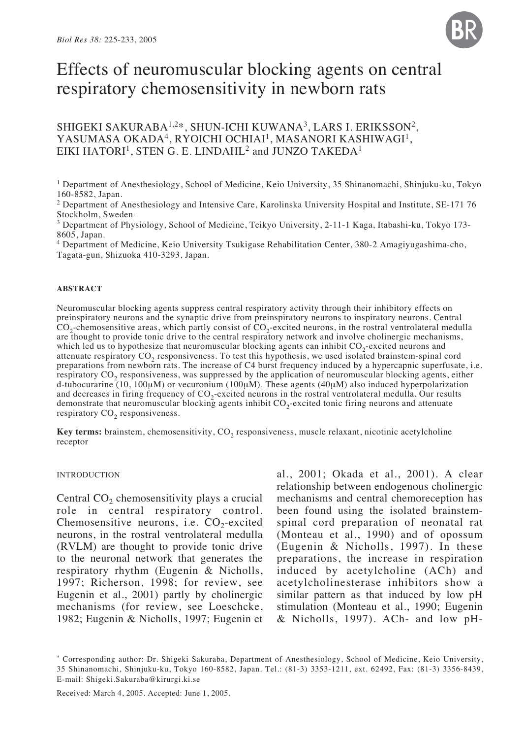

# Effects of neuromuscular blocking agents on central respiratory chemosensitivity in newborn rats

SHIGEKI SAKURABA<sup>1,2\*</sup>, SHUN-ICHI KUWANA<sup>3</sup>, LARS I. ERIKSSON<sup>2</sup>, YASUMASA OKADA<sup>4</sup>, RYOICHI OCHIAI<sup>1</sup>, MASANORI KASHIWAGI<sup>1</sup>, EIKI HATORI<sup>1</sup>, STEN G. E. LINDAHL<sup>2</sup> and JUNZO TAKEDA<sup>1</sup>

1 Department of Anesthesiology, School of Medicine, Keio University, 35 Shinanomachi, Shinjuku-ku, Tokyo 160-8582, Japan.

2 Department of Anesthesiology and Intensive Care, Karolinska University Hospital and Institute, SE-171 76 Stockholm, Sweden.

3 Department of Physiology, School of Medicine, Teikyo University, 2-11-1 Kaga, Itabashi-ku, Tokyo 173- 8605, Japan.

4 Department of Medicine, Keio University Tsukigase Rehabilitation Center, 380-2 Amagiyugashima-cho, Tagata-gun, Shizuoka 410-3293, Japan.

#### **ABSTRACT**

Neuromuscular blocking agents suppress central respiratory activity through their inhibitory effects on preinspiratory neurons and the synaptic drive from preinspiratory neurons to inspiratory neurons. Central  $CO<sub>2</sub>$ -chemosensitive areas, which partly consist of  $CO<sub>2</sub>$ -excited neurons, in the rostral ventrolateral medulla are thought to provide tonic drive to the central respiratory network and involve cholinergic mechanisms, which led us to hypothesize that neuromuscular blocking agents can inhibit  $CO<sub>2</sub>$ -excited neurons and attenuate respiratory  $CO<sub>2</sub>$  responsiveness. To test this hypothesis, we used isolated brainstem-spinal cord preparations from newborn rats. The increase of C4 burst frequency induced by a hypercapnic superfusate, i.e. respiratory CO<sub>2</sub> responsiveness, was suppressed by the application of neuromuscular blocking agents, either d-tubocurarine (10, 100 $\mu$ M) or vecuronium (100 $\mu$ M). These agents (40 $\mu$ M) also induced hyperpolarization and decreases in firing frequency of  $CO<sub>2</sub>$ -excited neurons in the rostral ventrolateral medulla. Our results demonstrate that neuromuscular blocking agents inhibit  $CO<sub>2</sub>$ -excited tonic firing neurons and attenuate respiratory CO<sub>2</sub> responsiveness.

Key terms: brainstem, chemosensitivity, CO<sub>2</sub> responsiveness, muscle relaxant, nicotinic acetylcholine receptor

#### INTRODUCTION

Central  $CO<sub>2</sub>$  chemosensitivity plays a crucial role in central respiratory control. Chemosensitive neurons, i.e.  $CO<sub>2</sub>$ -excited neurons, in the rostral ventrolateral medulla (RVLM) are thought to provide tonic drive to the neuronal network that generates the respiratory rhythm (Eugenin & Nicholls, 1997; Richerson, 1998; for review, see Eugenin et al., 2001) partly by cholinergic mechanisms (for review, see Loeschcke, 1982; Eugenin & Nicholls, 1997; Eugenin et al., 2001; Okada et al., 2001). A clear relationship between endogenous cholinergic mechanisms and central chemoreception has been found using the isolated brainstemspinal cord preparation of neonatal rat (Monteau et al., 1990) and of opossum (Eugenin & Nicholls, 1997). In these preparations, the increase in respiration induced by acetylcholine (ACh) and acetylcholinesterase inhibitors show a similar pattern as that induced by low pH stimulation (Monteau et al., 1990; Eugenin & Nicholls, 1997). ACh- and low pH-

<sup>\*</sup> Corresponding author: Dr. Shigeki Sakuraba, Department of Anesthesiology, School of Medicine, Keio University, 35 Shinanomachi, Shinjuku-ku, Tokyo 160-8582, Japan. Tel.: (81-3) 3353-1211, ext. 62492, Fax: (81-3) 3356-8439, E-mail: Shigeki.Sakuraba@kirurgi.ki.se

Received: March 4, 2005. Accepted: June 1, 2005.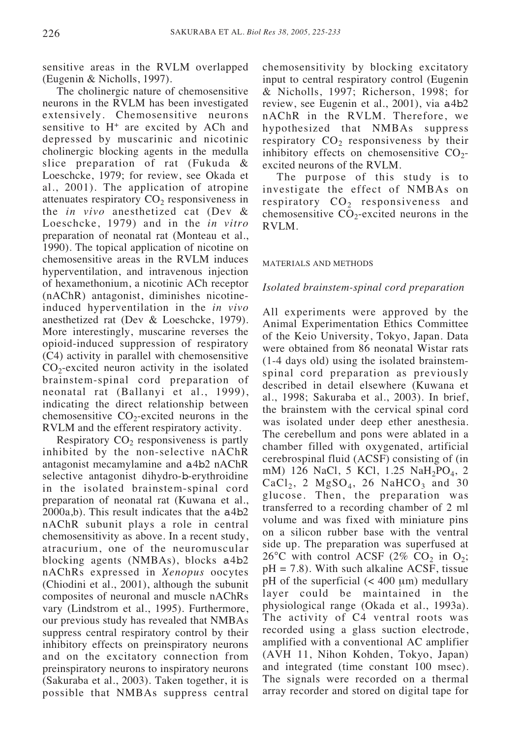sensitive areas in the RVLM overlapped (Eugenin & Nicholls, 1997).

The cholinergic nature of chemosensitive neurons in the RVLM has been investigated extensively. Chemosensitive neurons sensitive to  $H^+$  are excited by ACh and depressed by muscarinic and nicotinic cholinergic blocking agents in the medulla slice preparation of rat (Fukuda & Loeschcke, 1979; for review, see Okada et al., 2001). The application of atropine attenuates respiratory  $CO<sub>2</sub>$  responsiveness in the *in vivo* anesthetized cat (Dev & Loeschcke, 1979) and in the *in vitro* preparation of neonatal rat (Monteau et al., 1990). The topical application of nicotine on chemosensitive areas in the RVLM induces hyperventilation, and intravenous injection of hexamethonium, a nicotinic ACh receptor (nAChR) antagonist, diminishes nicotineinduced hyperventilation in the *in vivo* anesthetized rat (Dev & Loeschcke, 1979). More interestingly, muscarine reverses the opioid-induced suppression of respiratory (C4) activity in parallel with chemosensitive  $CO<sub>2</sub>$ -excited neuron activity in the isolated brainstem-spinal cord preparation of neonatal rat (Ballanyi et al., 1999), indicating the direct relationship between chemosensitive  $CO<sub>2</sub>$ -excited neurons in the RVLM and the efferent respiratory activity.

Respiratory  $CO<sub>2</sub>$  responsiveness is partly inhibited by the non-selective nAChR antagonist mecamylamine and a4b2 nAChR selective antagonist dihydro-b-erythroidine in the isolated brainstem-spinal cord preparation of neonatal rat (Kuwana et al., 2000a,b). This result indicates that the a4b2 nAChR subunit plays a role in central chemosensitivity as above. In a recent study, atracurium, one of the neuromuscular blocking agents (NMBAs), blocks a4b2 nAChRs expressed in *Xenopus* oocytes (Chiodini et al., 2001), although the subunit composites of neuronal and muscle nAChRs vary (Lindstrom et al., 1995). Furthermore, our previous study has revealed that NMBAs suppress central respiratory control by their inhibitory effects on preinspiratory neurons and on the excitatory connection from preinspiratory neurons to inspiratory neurons (Sakuraba et al., 2003). Taken together, it is possible that NMBAs suppress central

chemosensitivity by blocking excitatory input to central respiratory control (Eugenin & Nicholls, 1997; Richerson, 1998; for review, see Eugenin et al., 2001), via a4b2 nAChR in the RVLM. Therefore, we hypothesized that NMBAs suppress respiratory  $CO<sub>2</sub>$  responsiveness by their inhibitory effects on chemosensitive  $CO<sub>2</sub>$ excited neurons of the RVLM.

The purpose of this study is to investigate the effect of NMBAs on respiratory  $CO<sub>2</sub>$  responsiveness and chemosensitive  $CO<sub>2</sub>$ -excited neurons in the RVLM.

#### MATERIALS AND METHODS

## *Isolated brainstem-spinal cord preparation*

All experiments were approved by the Animal Experimentation Ethics Committee of the Keio University, Tokyo, Japan. Data were obtained from 86 neonatal Wistar rats (1-4 days old) using the isolated brainstemspinal cord preparation as previously described in detail elsewhere (Kuwana et al., 1998; Sakuraba et al., 2003). In brief, the brainstem with the cervical spinal cord was isolated under deep ether anesthesia. The cerebellum and pons were ablated in a chamber filled with oxygenated, artificial cerebrospinal fluid (ACSF) consisting of (in mM) 126 NaCl, 5 KCl, 1.25 NaH<sub>2</sub>PO<sub>4</sub>, 2  $CaCl<sub>2</sub>$ , 2 MgSO<sub>4</sub>, 26 NaHCO<sub>3</sub> and 30 glucose. Then, the preparation was transferred to a recording chamber of 2 ml volume and was fixed with miniature pins on a silicon rubber base with the ventral side up. The preparation was superfused at 26°C with control ACSF (2% CO<sub>2</sub> in O<sub>2</sub>;  $pH = 7.8$ ). With such alkaline ACSF, tissue pH of the superficial  $(< 400 \mu m)$  medullary layer could be maintained in the physiological range (Okada et al., 1993a). The activity of C4 ventral roots was recorded using a glass suction electrode, amplified with a conventional AC amplifier (AVH 11, Nihon Kohden, Tokyo, Japan) and integrated (time constant 100 msec). The signals were recorded on a thermal array recorder and stored on digital tape for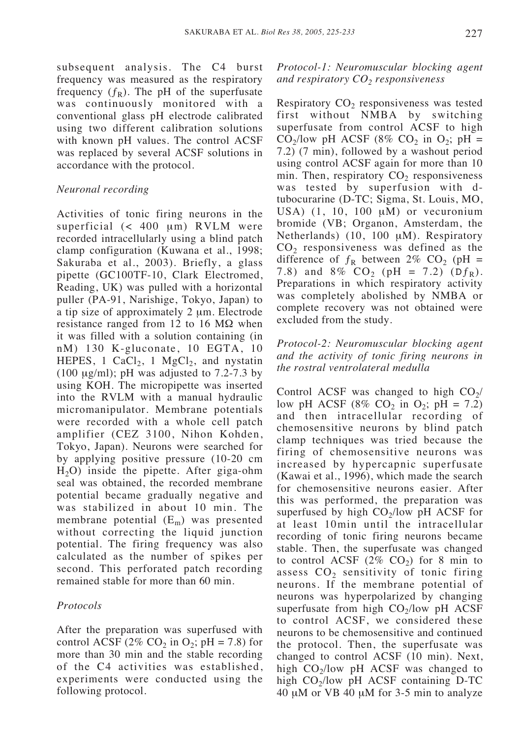subsequent analysis. The C4 burst frequency was measured as the respiratory frequency  $(f_R)$ . The pH of the superfusate was continuously monitored with a conventional glass pH electrode calibrated using two different calibration solutions with known pH values. The control ACSF was replaced by several ACSF solutions in accordance with the protocol.

## *Neuronal recording*

Activities of tonic firing neurons in the superficial (< 400 µm) RVLM were recorded intracellularly using a blind patch clamp configuration (Kuwana et al., 1998; Sakuraba et al., 2003). Briefly, a glass pipette (GC100TF-10, Clark Electromed, Reading, UK) was pulled with a horizontal puller (PA-91, Narishige, Tokyo, Japan) to a tip size of approximately 2 µm. Electrode resistance ranged from 12 to 16 M $\Omega$  when it was filled with a solution containing (in nM) 130 K-gluconate, 10 EGTA, 10 HEPES, 1 CaCl<sub>2</sub>, 1 MgCl<sub>2</sub>, and nystatin (100  $\mu$ g/ml); pH was adjusted to 7.2-7.3 by using KOH. The micropipette was inserted into the RVLM with a manual hydraulic micromanipulator. Membrane potentials were recorded with a whole cell patch amplifier (CEZ 3100, Nihon Kohden, Tokyo, Japan). Neurons were searched for by applying positive pressure (10-20 cm  $H<sub>2</sub>O$ ) inside the pipette. After giga-ohm seal was obtained, the recorded membrane potential became gradually negative and was stabilized in about 10 min. The membrane potential  $(E_m)$  was presented without correcting the liquid junction potential. The firing frequency was also calculated as the number of spikes per second. This perforated patch recording remained stable for more than 60 min.

# *Protocols*

After the preparation was superfused with control ACSF (2% CO<sub>2</sub> in O<sub>2</sub>; pH = 7.8) for more than 30 min and the stable recording of the C4 activities was established, experiments were conducted using the following protocol.

# *Protocol-1: Neuromuscular blocking agent and respiratory CO2 responsiveness*

Respiratory  $CO<sub>2</sub>$  responsiveness was tested first without NMBA by switching superfusate from control ACSF to high  $CO_2$ /low pH ACSF (8% CO<sub>2</sub> in O<sub>2</sub>; pH = 7.2) (7 min), followed by a washout period using control ACSF again for more than 10 min. Then, respiratory  $CO<sub>2</sub>$  responsiveness was tested by superfusion with dtubocurarine (D-TC; Sigma, St. Louis, MO, USA)  $(1, 10, 100 \mu M)$  or vecuronium bromide (VB; Organon, Amsterdam, the Netherlands) (10, 100 µM). Respiratory  $CO<sub>2</sub>$  responsiveness was defined as the difference of  $f_R$  between 2% CO<sub>2</sub> (pH = 7.8) and 8%  $CO_2$  (pH = 7.2) (D $f_R$ ). Preparations in which respiratory activity was completely abolished by NMBA or complete recovery was not obtained were excluded from the study.

# *Protocol-2: Neuromuscular blocking agent and the activity of tonic firing neurons in the rostral ventrolateral medulla*

Control ACSF was changed to high  $CO<sub>2</sub>/$ low pH ACSF (8% CO<sub>2</sub> in O<sub>2</sub>; pH = 7.2) and then intracellular recording of chemosensitive neurons by blind patch clamp techniques was tried because the firing of chemosensitive neurons was increased by hypercapnic superfusate (Kawai et al., 1996), which made the search for chemosensitive neurons easier. After this was performed, the preparation was superfused by high  $CO_2$ /low pH ACSF for at least 10min until the intracellular recording of tonic firing neurons became stable. Then, the superfusate was changed to control ACSF  $(2\%$  CO<sub>2</sub>) for 8 min to assess  $CO<sub>2</sub>$  sensitivity of tonic firing neurons. If the membrane potential of neurons was hyperpolarized by changing superfusate from high  $CO<sub>2</sub>/low$  pH ACSF to control ACSF, we considered these neurons to be chemosensitive and continued the protocol. Then, the superfusate was changed to control ACSF (10 min). Next, high CO<sub>2</sub>/low pH ACSF was changed to high  $CO_2$ /low pH ACSF containing D-TC 40 µM or VB 40 µM for 3-5 min to analyze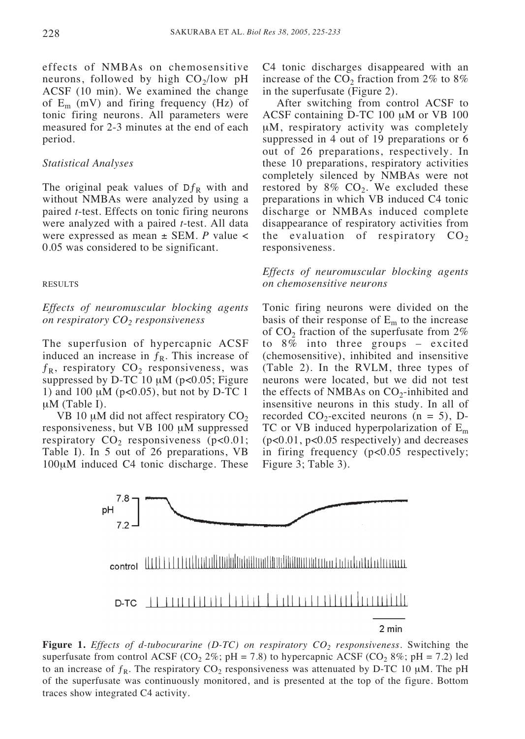effects of NMBAs on chemosensitive neurons, followed by high  $CO<sub>2</sub>/low$  pH ACSF (10 min). We examined the change of  $E_m$  (mV) and firing frequency (Hz) of tonic firing neurons. All parameters were measured for 2-3 minutes at the end of each period.

## *Statistical Analyses*

The original peak values of  $Df_R$  with and without NMBAs were analyzed by using a paired *t*-test. Effects on tonic firing neurons were analyzed with a paired *t*-test. All data were expressed as mean ± SEM. *P* value < 0.05 was considered to be significant.

#### RESULTS

*Effects of neuromuscular blocking agents on respiratory CO2 responsiveness*

The superfusion of hypercapnic ACSF induced an increase in  $f<sub>R</sub>$ . This increase of  $f_{\rm R}$ , respiratory CO<sub>2</sub> responsiveness, was suppressed by D-TC 10  $\mu$ M (p<0.05; Figure 1) and 100  $\mu$ M ( $p < 0.05$ ), but not by D-TC 1 µM (Table I).

VB 10  $\mu$ M did not affect respiratory CO<sub>2</sub> responsiveness, but VB 100 µM suppressed respiratory  $CO<sub>2</sub>$  responsiveness (p<0.01; Table I). In 5 out of 26 preparations, VB 100µM induced C4 tonic discharge. These C4 tonic discharges disappeared with an increase of the  $CO<sub>2</sub>$  fraction from 2% to 8% in the superfusate (Figure 2).

After switching from control ACSF to ACSF containing D-TC 100 µM or VB 100 µM, respiratory activity was completely suppressed in 4 out of 19 preparations or 6 out of 26 preparations, respectively. In these 10 preparations, respiratory activities completely silenced by NMBAs were not restored by  $8\%$  CO<sub>2</sub>. We excluded these preparations in which VB induced C4 tonic discharge or NMBAs induced complete disappearance of respiratory activities from the evaluation of respiratory  $CO<sub>2</sub>$ responsiveness.

*Effects of neuromuscular blocking agents on chemosensitive neurons*

Tonic firing neurons were divided on the basis of their response of  $E_m$  to the increase of  $CO<sub>2</sub>$  fraction of the superfusate from  $2\%$ to 8% into three groups – excited (chemosensitive), inhibited and insensitive (Table 2). In the RVLM, three types of neurons were located, but we did not test the effects of NMBAs on  $CO_2$ -inhibited and insensitive neurons in this study. In all of recorded  $CO_2$ -excited neurons (n = 5), D-TC or VB induced hyperpolarization of  $E_m$ (p<0.01, p<0.05 respectively) and decreases in firing frequency (p<0.05 respectively; Figure 3; Table 3).



**Figure 1.** *Effects of d-tubocurarine (D-TC) on respiratory CO2 responsiveness.* Switching the superfusate from control ACSF (CO<sub>2</sub> 2%; pH = 7.8) to hypercapnic ACSF (CO<sub>2</sub> 8%; pH = 7.2) led to an increase of  $f_R$ . The respiratory CO<sub>2</sub> responsiveness was attenuated by D-TC 10  $\mu$ M. The pH of the superfusate was continuously monitored, and is presented at the top of the figure. Bottom traces show integrated C4 activity.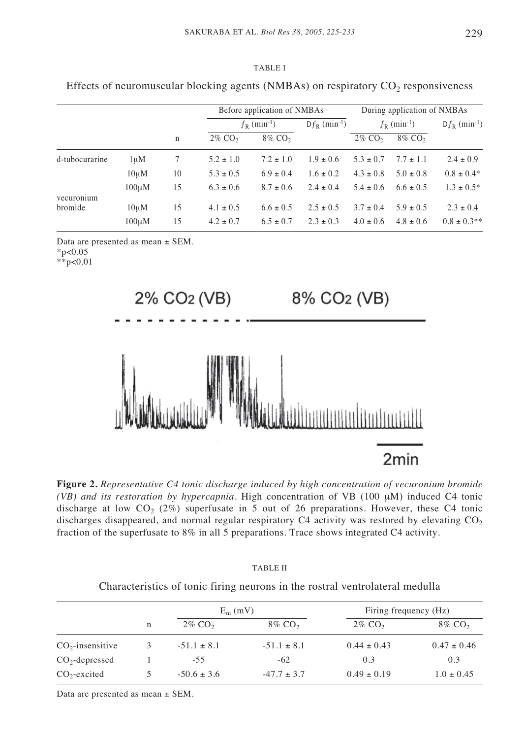|                |       | $\mathbf n$ | Before application of NMBAs |                    |                             | During application of NMBAs  |                    |                             |
|----------------|-------|-------------|-----------------------------|--------------------|-----------------------------|------------------------------|--------------------|-----------------------------|
|                |       |             | $f_R$ (min <sup>-1</sup> )  |                    | $Df_R$ (min <sup>-1</sup> ) | $f_{R}$ (min <sup>-1</sup> ) |                    | $Df_R$ (min <sup>-1</sup> ) |
|                |       |             | $2\%$ CO <sub>2</sub>       | 8% CO <sub>2</sub> |                             | $2\%$ CO <sub>2</sub>        | 8% CO <sub>2</sub> |                             |
| d-tubocurarine | 1uM   |             | $5.2 \pm 1.0$               | $7.2 \pm 1.0$      | $1.9 \pm 0.6$               | $5.3 \pm 0.7$                | $7.7 \pm 1.1$      | $2.4 \pm 0.9$               |
|                | 10uM  | 10          | $5.3 \pm 0.5$               | $6.9 \pm 0.4$      | $1.6 \pm 0.2$               | $4.3 \pm 0.8$                | $5.0 \pm 0.8$      | $0.8 \pm 0.4*$              |
| vecuronium     | 100uM | 15          | $6.3 \pm 0.6$               | $8.7 \pm 0.6$      | $2.4 \pm 0.4$               | $5.4 \pm 0.6$                | $6.6 \pm 0.5$      | $1.3 \pm 0.5^*$             |
| bromide        | 10uM  | 15          | $4.1 \pm 0.5$               | $6.6 \pm 0.5$      | $2.5 \pm 0.5$               | $3.7 \pm 0.4$                | $5.9 \pm 0.5$      | $2.3 \pm 0.4$               |

 $100\,\mu\text{M}$  15  $4.2 \pm 0.7$   $6.5 \pm 0.7$   $2.3 \pm 0.3$   $4.0 \pm 0.6$   $4.8 \pm 0.6$   $0.8 \pm 0.3^{**}$ 

TABLE I Effects of neuromuscular blocking agents  $(NMRAs)$  on respiratory  $CO<sub>2</sub>$  responsiveness

Data are presented as mean ± SEM.

 $*p<0.05$ 

\*\*p<0.01



**Figure 2.** *Representative C4 tonic discharge induced by high concentration of vecuronium bromide (VB) and its restoration by hypercapnia.* High concentration of VB (100 µM) induced C4 tonic discharge at low  $CO<sub>2</sub>$  (2%) superfusate in 5 out of 26 preparations. However, these C4 tonic discharges disappeared, and normal regular respiratory  $C4$  activity was restored by elevating  $CO<sub>2</sub>$ fraction of the superfusate to 8% in all 5 preparations. Trace shows integrated C4 activity.

|                    |   | $E_m$ (mV)            |                       | Firing frequency (Hz) |                       |  |
|--------------------|---|-----------------------|-----------------------|-----------------------|-----------------------|--|
|                    | n | $2\%$ CO <sub>2</sub> | $8\%$ CO <sub>2</sub> | $2\%$ CO <sub>2</sub> | $8\%$ CO <sub>2</sub> |  |
| $CO2$ -insensitive | 3 | $-51.1 \pm 8.1$       | $-51.1 \pm 8.1$       | $0.44 \pm 0.43$       | $0.47 \pm 0.46$       |  |
| $CO_2$ -depressed  |   | $-55$                 | $-62$                 | 0.3                   | 0.3                   |  |
| $CO2$ -excited     |   | $-50.6 \pm 3.6$       | $-47.7 \pm 3.7$       | $0.49 \pm 0.19$       | $1.0 \pm 0.45$        |  |

TABLE II Characteristics of tonic firing neurons in the rostral ventrolateral medulla

Data are presented as mean ± SEM.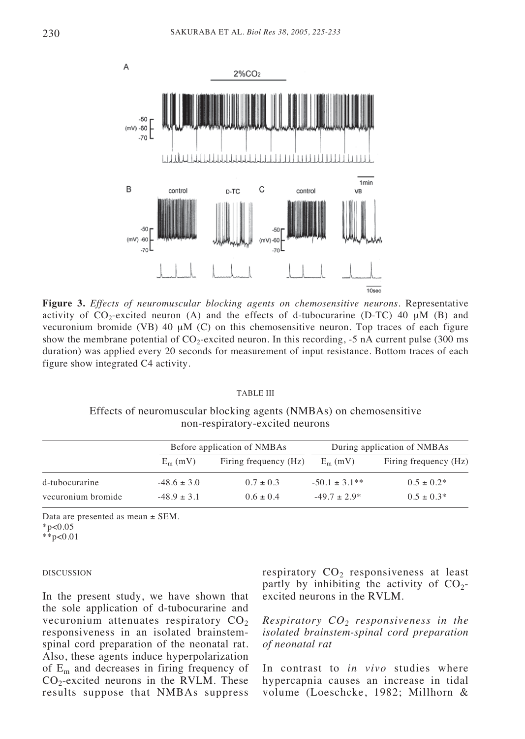

**Figure 3.** *Effects of neuromuscular blocking agents on chemosensitive neurons.* Representative activity of  $CO_2$ -excited neuron (A) and the effects of d-tubocurarine (D-TC) 40  $\mu$ M (B) and vecuronium bromide (VB) 40  $\mu$ M (C) on this chemosensitive neuron. Top traces of each figure show the membrane potential of  $CO_2$ -excited neuron. In this recording,  $-5$  nA current pulse (300 ms) duration) was applied every 20 seconds for measurement of input resistance. Bottom traces of each figure show integrated C4 activity.

#### TABLE III

Effects of neuromuscular blocking agents (NMBAs) on chemosensitive non-respiratory-excited neurons

|                    |                 | Before application of NMBAs | During application of NMBAs |                       |  |
|--------------------|-----------------|-----------------------------|-----------------------------|-----------------------|--|
|                    | $E_m$ (mV)      | Firing frequency (Hz)       | $E_m$ (mV)                  | Firing frequency (Hz) |  |
| d-tubocurarine     | $-48.6 \pm 3.0$ | $0.7 \pm 0.3$               | $-50.1 \pm 3.1**$           | $0.5 \pm 0.2^*$       |  |
| vecuronium bromide | $-48.9 \pm 3.1$ | $0.6 \pm 0.4$               | $-49.7 \pm 2.9^*$           | $0.5 \pm 0.3*$        |  |

Data are presented as mean  $\pm$  SEM.

 $*p<0.05$ 

\*\*p<0.01

#### DISCUSSION

In the present study, we have shown that the sole application of d-tubocurarine and vecuronium attenuates respiratory  $CO<sub>2</sub>$ responsiveness in an isolated brainstemspinal cord preparation of the neonatal rat. Also, these agents induce hyperpolarization of  $E_m$  and decreases in firing frequency of  $CO<sub>2</sub>$ -excited neurons in the RVLM. These results suppose that NMBAs suppress

respiratory  $CO<sub>2</sub>$  responsiveness at least partly by inhibiting the activity of  $CO<sub>2</sub>$ excited neurons in the RVLM.

*Respiratory CO2 responsiveness in the isolated brainstem-spinal cord preparation of neonatal rat*

In contrast to *in vivo* studies where hypercapnia causes an increase in tidal volume (Loeschcke, 1982; Millhorn &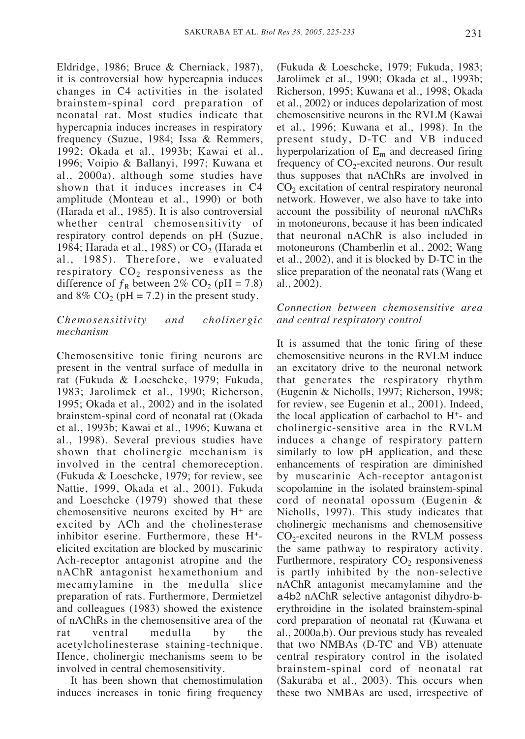Eldridge, 1986; Bruce & Cherniack, 1987), it is controversial how hypercapnia induces changes in C4 activities in the isolated brainstem-spinal cord preparation of neonatal rat. Most studies indicate that hypercapnia induces increases in respiratory frequency (Suzue, 1984; Issa & Remmers, 1992; Okada et al., 1993b; Kawai et al., 1996; Voipio & Ballanyi, 1997; Kuwana et al., 2000a), although some studies have shown that it induces increases in C4 amplitude (Monteau et al., 1990) or both (Harada et al., 1985). It is also controversial whether central chemosensitivity of respiratory control depends on pH (Suzue, 1984; Harada et al., 1985) or  $CO<sub>2</sub>$  (Harada et al., 1985). Therefore, we evaluated respiratory  $CO<sub>2</sub>$  responsiveness as the difference of  $f_R$  between 2% CO<sub>2</sub> (pH = 7.8) and 8%  $CO<sub>2</sub>$  (pH = 7.2) in the present study.

## *Chemosensitivity and cholinergic mechanism*

Chemosensitive tonic firing neurons are present in the ventral surface of medulla in rat (Fukuda & Loeschcke, 1979; Fukuda, 1983; Jarolimek et al., 1990; Richerson, 1995; Okada et al., 2002) and in the isolated brainstem-spinal cord of neonatal rat (Okada et al., 1993b; Kawai et al., 1996; Kuwana et al., 1998). Several previous studies have shown that cholinergic mechanism is involved in the central chemoreception. (Fukuda & Loeschcke, 1979; for review, see Nattie, 1999, Okada et al., 2001). Fukuda and Loeschcke (1979) showed that these chemosensitive neurons excited by H+ are excited by ACh and the cholinesterase inhibitor eserine. Furthermore, these H+ elicited excitation are blocked by muscarinic Ach-receptor antagonist atropine and the nAChR antagonist hexamethonium and mecamylamine in the medulla slice preparation of rats. Furthermore, Dermietzel and colleagues (1983) showed the existence of nAChRs in the chemosensitive area of the rat ventral medulla by the acetylcholinesterase staining-technique. Hence, cholinergic mechanisms seem to be involved in central chemosensitivity.

It has been shown that chemostimulation induces increases in tonic firing frequency (Fukuda & Loeschcke, 1979; Fukuda, 1983; Jarolimek et al., 1990; Okada et al., 1993b; Richerson, 1995; Kuwana et al., 1998; Okada et al., 2002) or induces depolarization of most chemosensitive neurons in the RVLM (Kawai et al., 1996; Kuwana et al., 1998). In the present study, D-TC and VB induced hyperpolarization of  $E_m$  and decreased firing frequency of  $CO<sub>2</sub>$ -excited neurons. Our result thus supposes that nAChRs are involved in  $CO<sub>2</sub>$  excitation of central respiratory neuronal network. However, we also have to take into account the possibility of neuronal nAChRs in motoneurons, because it has been indicated that neuronal nAChR is also included in motoneurons (Chamberlin et al., 2002; Wang et al., 2002), and it is blocked by D-TC in the slice preparation of the neonatal rats (Wang et al., 2002).

# *Connection between chemosensitive area and central respiratory control*

It is assumed that the tonic firing of these chemosensitive neurons in the RVLM induce an excitatory drive to the neuronal network that generates the respiratory rhythm (Eugenin & Nicholls, 1997; Richerson, 1998; for review, see Eugenin et al., 2001). Indeed, the local application of carbachol to H+- and cholinergic-sensitive area in the RVLM induces a change of respiratory pattern similarly to low pH application, and these enhancements of respiration are diminished by muscarinic Ach-receptor antagonist scopolamine in the isolated brainstem-spinal cord of neonatal opossum (Eugenin & Nicholls, 1997). This study indicates that cholinergic mechanisms and chemosensitive  $CO<sub>2</sub>$ -excited neurons in the RVLM possess the same pathway to respiratory activity. Furthermore, respiratory  $CO<sub>2</sub>$  responsiveness is partly inhibited by the non-selective nAChR antagonist mecamylamine and the a4b2 nAChR selective antagonist dihydro-berythroidine in the isolated brainstem-spinal cord preparation of neonatal rat (Kuwana et al., 2000a,b). Our previous study has revealed that two NMBAs (D-TC and VB) attenuate central respiratory control in the isolated brainstem-spinal cord of neonatal rat (Sakuraba et al., 2003). This occurs when these two NMBAs are used, irrespective of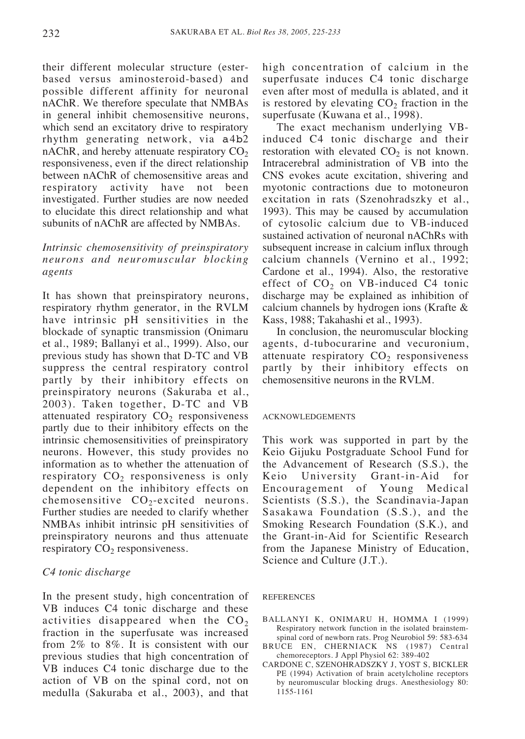their different molecular structure (esterbased versus aminosteroid-based) and possible different affinity for neuronal nAChR. We therefore speculate that NMBAs in general inhibit chemosensitive neurons, which send an excitatory drive to respiratory rhythm generating network, via a4b2 nAChR, and hereby attenuate respiratory  $CO<sub>2</sub>$ responsiveness, even if the direct relationship between nAChR of chemosensitive areas and respiratory activity have not been investigated. Further studies are now needed to elucidate this direct relationship and what subunits of nAChR are affected by NMBAs.

# *Intrinsic chemosensitivity of preinspiratory neurons and neuromuscular blocking agents*

It has shown that preinspiratory neurons, respiratory rhythm generator, in the RVLM have intrinsic pH sensitivities in the blockade of synaptic transmission (Onimaru et al., 1989; Ballanyi et al., 1999). Also, our previous study has shown that D-TC and VB suppress the central respiratory control partly by their inhibitory effects on preinspiratory neurons (Sakuraba et al., 2003). Taken together, D-TC and VB attenuated respiratory  $CO<sub>2</sub>$  responsiveness partly due to their inhibitory effects on the intrinsic chemosensitivities of preinspiratory neurons. However, this study provides no information as to whether the attenuation of respiratory  $CO<sub>2</sub>$  responsiveness is only dependent on the inhibitory effects on chemosensitive  $CO_2$ -excited neurons. Further studies are needed to clarify whether NMBAs inhibit intrinsic pH sensitivities of preinspiratory neurons and thus attenuate respiratory  $CO<sub>2</sub>$  responsiveness.

## *C4 tonic discharge*

In the present study, high concentration of VB induces C4 tonic discharge and these activities disappeared when the  $CO<sub>2</sub>$ fraction in the superfusate was increased from 2% to 8%. It is consistent with our previous studies that high concentration of VB induces C4 tonic discharge due to the action of VB on the spinal cord, not on medulla (Sakuraba et al., 2003), and that

high concentration of calcium in the superfusate induces C4 tonic discharge even after most of medulla is ablated, and it is restored by elevating  $CO<sub>2</sub>$  fraction in the superfusate (Kuwana et al., 1998).

The exact mechanism underlying VBinduced C4 tonic discharge and their restoration with elevated  $CO<sub>2</sub>$  is not known. Intracerebral administration of VB into the CNS evokes acute excitation, shivering and myotonic contractions due to motoneuron excitation in rats (Szenohradszky et al., 1993). This may be caused by accumulation of cytosolic calcium due to VB-induced sustained activation of neuronal nAChRs with subsequent increase in calcium influx through calcium channels (Vernino et al., 1992; Cardone et al., 1994). Also, the restorative effect of  $CO<sub>2</sub>$  on VB-induced C4 tonic discharge may be explained as inhibition of calcium channels by hydrogen ions (Krafte & Kass, 1988; Takahashi et al., 1993).

In conclusion, the neuromuscular blocking agents, d-tubocurarine and vecuronium, attenuate respiratory  $CO<sub>2</sub>$  responsiveness partly by their inhibitory effects on chemosensitive neurons in the RVLM.

#### ACKNOWLEDGEMENTS

This work was supported in part by the Keio Gijuku Postgraduate School Fund for the Advancement of Research (S.S.), the Keio University Grant-in-Aid for Encouragement of Young Medical Scientists (S.S.), the Scandinavia-Japan Sasakawa Foundation (S.S.), and the Smoking Research Foundation (S.K.), and the Grant-in-Aid for Scientific Research from the Japanese Ministry of Education, Science and Culture (J.T.).

#### REFERENCES

- BALLANYI K, ONIMARU H, HOMMA I (1999) Respiratory network function in the isolated brainstemspinal cord of newborn rats. Prog Neurobiol 59: 583-634
- BRUCE EN, CHERNIACK NS (1987) Central chemoreceptors. J Appl Physiol 62: 389-402
- CARDONE C, SZENOHRADSZKY J, YOST S, BICKLER PE (1994) Activation of brain acetylcholine receptors by neuromuscular blocking drugs. Anesthesiology 80: 1155-1161